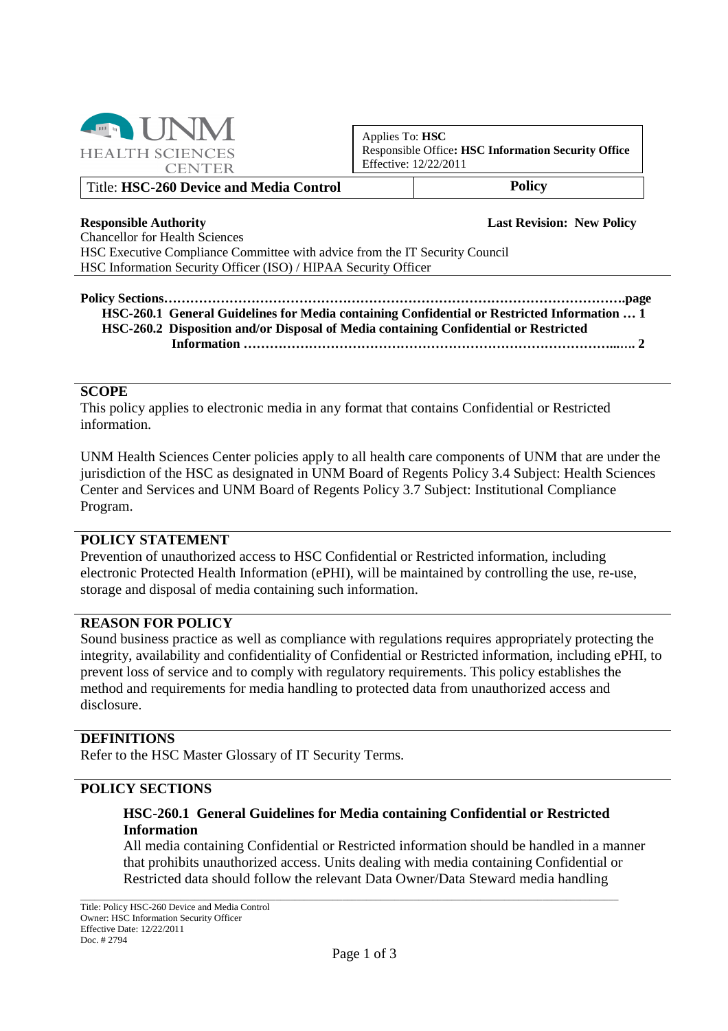

Applies To: **HSC** Responsible Office**: HSC Information Security Office** Effective: 12/22/2011

#### Title: **HSC-260 Device and Media Control Policy**

**Responsible Authority Last Revision: New Policy**

Chancellor for Health Sciences HSC Executive Compliance Committee with advice from the IT Security Council HSC Information Security Officer (ISO) / HIPAA Security Officer

#### **Policy Sections…………………………………………………………………………………………….page HSC-260.1 General Guidelines for Media containing Confidential or Restricted Information … 1 HSC-260.2 Disposition and/or Disposal of Media containing Confidential or Restricted**

**Information …………………………………………………………………………...…. 2**

### **SCOPE**

This policy applies to electronic media in any format that contains Confidential or Restricted information.

UNM Health Sciences Center policies apply to all health care components of UNM that are under the jurisdiction of the HSC as designated in UNM Board of Regents Policy 3.4 Subject: Health Sciences Center and Services and UNM Board of Regents Policy 3.7 Subject: Institutional Compliance Program.

#### **POLICY STATEMENT**

Prevention of unauthorized access to HSC Confidential or Restricted information, including electronic Protected Health Information (ePHI), will be maintained by controlling the use, re-use, storage and disposal of media containing such information.

# **REASON FOR POLICY**

Sound business practice as well as compliance with regulations requires appropriately protecting the integrity, availability and confidentiality of Confidential or Restricted information, including ePHI, to prevent loss of service and to comply with regulatory requirements. This policy establishes the method and requirements for media handling to protected data from unauthorized access and disclosure.

## **DEFINITIONS**

Refer to the HSC Master Glossary of IT Security Terms.

### **POLICY SECTIONS**

## **HSC-260.1 General Guidelines for Media containing Confidential or Restricted Information**

All media containing Confidential or Restricted information should be handled in a manner that prohibits unauthorized access. Units dealing with media containing Confidential or Restricted data should follow the relevant Data Owner/Data Steward media handling

\_\_\_\_\_\_\_\_\_\_\_\_\_\_\_\_\_\_\_\_\_\_\_\_\_\_\_\_\_\_\_\_\_\_\_\_\_\_\_\_\_\_\_\_\_\_\_\_\_\_\_\_\_\_\_\_\_\_\_\_\_\_\_\_\_\_\_\_\_\_\_\_\_\_\_\_\_\_\_\_\_\_\_\_\_\_\_\_\_\_\_\_\_\_\_\_\_\_\_\_\_\_\_\_\_\_\_\_\_\_\_\_\_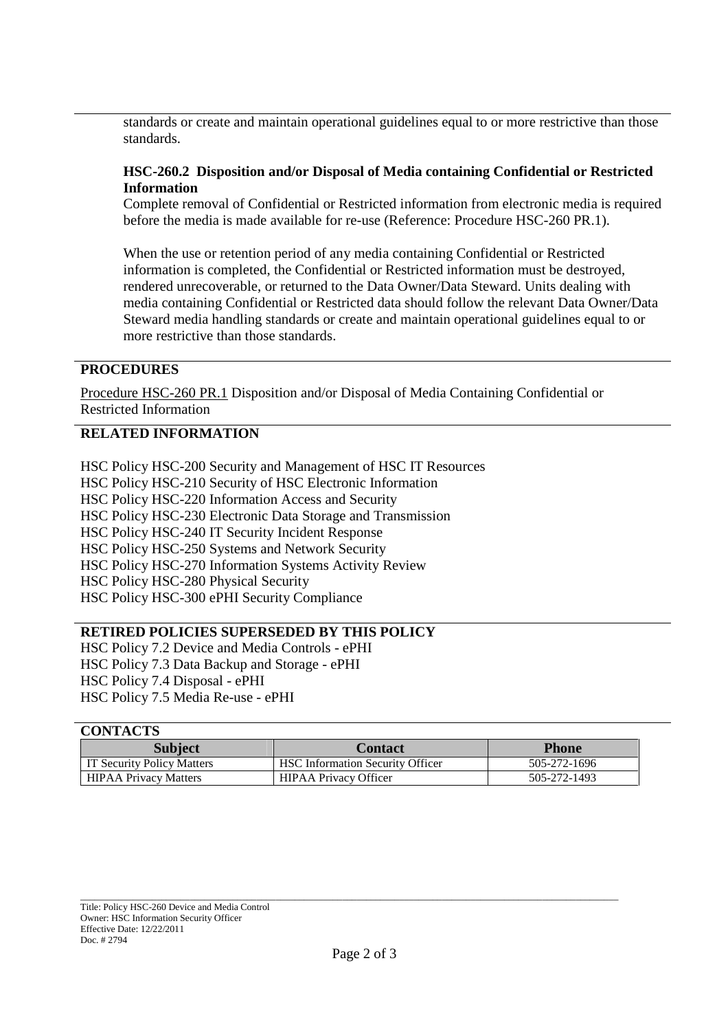standards or create and maintain operational guidelines equal to or more restrictive than those standards.

## **HSC-260.2 Disposition and/or Disposal of Media containing Confidential or Restricted Information**

Complete removal of Confidential or Restricted information from electronic media is required before the media is made available for re-use (Reference: Procedure HSC-260 PR.1).

When the use or retention period of any media containing Confidential or Restricted information is completed, the Confidential or Restricted information must be destroyed, rendered unrecoverable, or returned to the Data Owner/Data Steward. Units dealing with media containing Confidential or Restricted data should follow the relevant Data Owner/Data Steward media handling standards or create and maintain operational guidelines equal to or more restrictive than those standards.

# **PROCEDURES**

Procedure HSC-260 PR.1 Disposition and/or Disposal of Media Containing Confidential or Restricted Information

## **RELATED INFORMATION**

HSC Policy HSC-200 Security and Management of HSC IT Resources HSC Policy HSC-210 Security of HSC Electronic Information HSC Policy HSC-220 Information Access and Security HSC Policy HSC-230 Electronic Data Storage and Transmission HSC Policy HSC-240 IT Security Incident Response HSC Policy HSC-250 Systems and Network Security HSC Policy HSC-270 Information Systems Activity Review HSC Policy HSC-280 Physical Security HSC Policy HSC-300 ePHI Security Compliance

# **RETIRED POLICIES SUPERSEDED BY THIS POLICY**

HSC Policy 7.2 Device and Media Controls - ePHI HSC Policy 7.3 Data Backup and Storage - ePHI HSC Policy 7.4 Disposal - ePHI HSC Policy 7.5 Media Re-use - ePHI

## **CONTACTS**

| <b>Subject</b>               | Contact                                 | <b>Phone</b> |
|------------------------------|-----------------------------------------|--------------|
| IT Security Policy Matters   | <b>HSC Information Security Officer</b> | 505-272-1696 |
| <b>HIPAA Privacy Matters</b> | <b>HIPAA Privacy Officer</b>            | 505-272-1493 |

\_\_\_\_\_\_\_\_\_\_\_\_\_\_\_\_\_\_\_\_\_\_\_\_\_\_\_\_\_\_\_\_\_\_\_\_\_\_\_\_\_\_\_\_\_\_\_\_\_\_\_\_\_\_\_\_\_\_\_\_\_\_\_\_\_\_\_\_\_\_\_\_\_\_\_\_\_\_\_\_\_\_\_\_\_\_\_\_\_\_\_\_\_\_\_\_\_\_\_\_\_\_\_\_\_\_\_\_\_\_\_\_\_